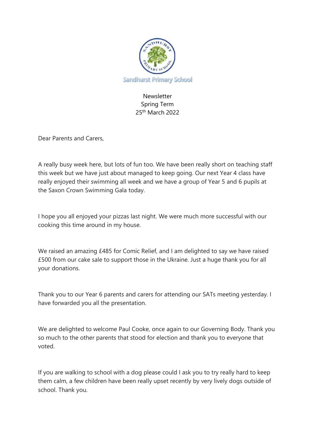

# Newsletter Spring Term 25<sup>th</sup> March 2022

Dear Parents and Carers,

A really busy week here, but lots of fun too. We have been really short on teaching staff this week but we have just about managed to keep going. Our next Year 4 class have really enjoyed their swimming all week and we have a group of Year 5 and 6 pupils at the Saxon Crown Swimming Gala today.

I hope you all enjoyed your pizzas last night. We were much more successful with our cooking this time around in my house.

We raised an amazing £485 for Comic Relief, and I am delighted to say we have raised £500 from our cake sale to support those in the Ukraine. Just a huge thank you for all your donations.

Thank you to our Year 6 parents and carers for attending our SATs meeting yesterday. I have forwarded you all the presentation.

We are delighted to welcome Paul Cooke, once again to our Governing Body. Thank you so much to the other parents that stood for election and thank you to everyone that voted.

If you are walking to school with a dog please could I ask you to try really hard to keep them calm, a few children have been really upset recently by very lively dogs outside of school. Thank you.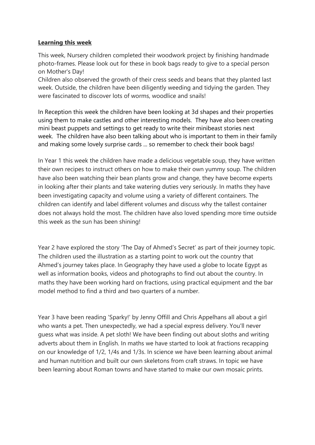#### **Learning this week**

This week, Nursery children completed their woodwork project by finishing handmade photo-frames. Please look out for these in book bags ready to give to a special person on Mother's Day!

Children also observed the growth of their cress seeds and beans that they planted last week. Outside, the children have been diligently weeding and tidying the garden. They were fascinated to discover lots of worms, woodlice and snails!

In Reception this week the children have been looking at 3d shapes and their properties using them to make castles and other interesting models. They have also been creating mini beast puppets and settings to get ready to write their minibeast stories next week. The children have also been talking about who is important to them in their family and making some lovely surprise cards ... so remember to check their book bags!

In Year 1 this week the children have made a delicious vegetable soup, they have written their own recipes to instruct others on how to make their own yummy soup. The children have also been watching their bean plants grow and change, they have become experts in looking after their plants and take watering duties very seriously. In maths they have been investigating capacity and volume using a variety of different containers. The children can identify and label different volumes and discuss why the tallest container does not always hold the most. The children have also loved spending more time outside this week as the sun has been shining!

Year 2 have explored the story 'The Day of Ahmed's Secret' as part of their journey topic. The children used the illustration as a starting point to work out the country that Ahmed's journey takes place. In Geography they have used a globe to locate Egypt as well as information books, videos and photographs to find out about the country. In maths they have been working hard on fractions, using practical equipment and the bar model method to find a third and two quarters of a number.

Year 3 have been reading 'Sparky!' by Jenny Offill and Chris Appelhans all about a girl who wants a pet. Then unexpectedly, we had a special express delivery. You'll never guess what was inside. A pet sloth! We have been finding out about sloths and writing adverts about them in English. In maths we have started to look at fractions recapping on our knowledge of 1/2, 1/4s and 1/3s. In science we have been learning about animal and human nutrition and built our own skeletons from craft straws. In topic we have been learning about Roman towns and have started to make our own mosaic prints.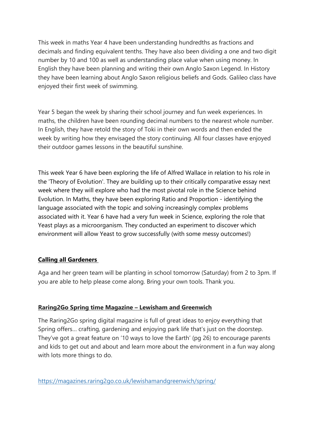This week in maths Year 4 have been understanding hundredths as fractions and decimals and finding equivalent tenths. They have also been dividing a one and two digit number by 10 and 100 as well as understanding place value when using money. In English they have been planning and writing their own Anglo Saxon Legend. In History they have been learning about Anglo Saxon religious beliefs and Gods. Galileo class have enjoyed their first week of swimming.

Year 5 began the week by sharing their school journey and fun week experiences. In maths, the children have been rounding decimal numbers to the nearest whole number. In English, they have retold the story of Toki in their own words and then ended the week by writing how they envisaged the story continuing. All four classes have enjoyed their outdoor games lessons in the beautiful sunshine.

This week Year 6 have been exploring the life of Alfred Wallace in relation to his role in the 'Theory of Evolution'. They are building up to their critically comparative essay next week where they will explore who had the most pivotal role in the Science behind Evolution. In Maths, they have been exploring Ratio and Proportion - identifying the language associated with the topic and solving increasingly complex problems associated with it. Year 6 have had a very fun week in Science, exploring the role that Yeast plays as a microorganism. They conducted an experiment to discover which environment will allow Yeast to grow successfully (with some messy outcomes!)

# **Calling all Gardeners**

Aga and her green team will be planting in school tomorrow (Saturday) from 2 to 3pm. If you are able to help please come along. Bring your own tools. Thank you.

# **Raring2Go Spring time Magazine – Lewisham and Greenwich**

The Raring2Go spring digital magazine is full of great ideas to enjoy everything that Spring offers… crafting, gardening and enjoying park life that's just on the doorstep. They've got a great feature on '10 ways to love the Earth' (pg 26) to encourage parents and kids to get out and about and learn more about the environment in a fun way along with lots more things to do.

<https://magazines.raring2go.co.uk/lewishamandgreenwich/spring/>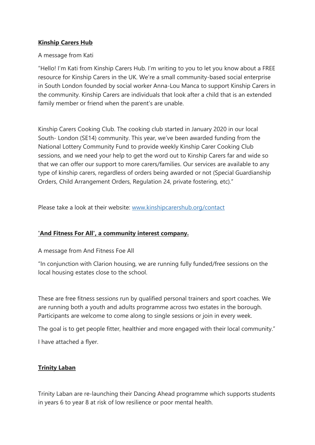#### **Kinship Carers Hub**

#### A message from Kati

"Hello! I'm Kati from Kinship Carers Hub. I'm writing to you to let you know about a FREE resource for Kinship Carers in the UK. We're a small community-based social enterprise in South London founded by social worker Anna-Lou Manca to support Kinship Carers in the community. Kinship Carers are individuals that look after a child that is an extended family member or friend when the parent's are unable.

Kinship Carers Cooking Club. The cooking club started in January 2020 in our local South- London (SE14) community. This year, we've been awarded funding from the National Lottery Community Fund to provide weekly Kinship Carer Cooking Club sessions, and we need your help to get the word out to Kinship Carers far and wide so that we can offer our support to more carers/families. Our services are available to any type of kinship carers, regardless of orders being awarded or not (Special Guardianship Orders, Child Arrangement Orders, Regulation 24, private fostering, etc)."

Please take a look at their website: [www.kinshipcarershub.org/contact](http://www.kinshipcarershub.org/contact)

## **'And Fitness For All', a community interest company.**

A message from And Fitness Foe All

"In conjunction with Clarion housing, we are running fully funded/free sessions on the local housing estates close to the school.

These are free fitness sessions run by qualified personal trainers and sport coaches. We are running both a youth and adults programme across two estates in the borough. Participants are welcome to come along to single sessions or join in every week.

The goal is to get people fitter, healthier and more engaged with their local community."

I have attached a flyer.

## **Trinity Laban**

Trinity Laban are re-launching their Dancing Ahead programme which supports students in years 6 to year 8 at risk of low resilience or poor mental health.